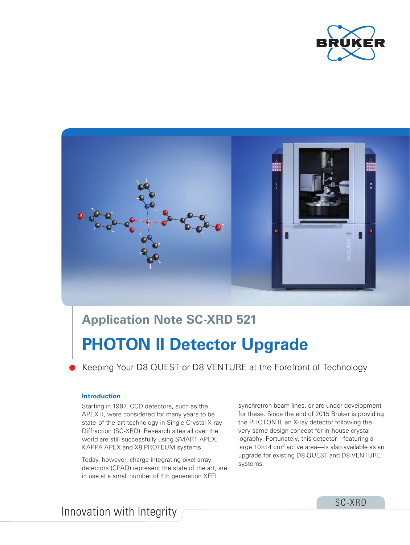



# **Application Note SC-XRD 521**

# **PHOTON II Detector Upgrade**

Keeping Your D8 QUEST or D8 VENTURE at the Forefront of Technology

## **Introduction**

Starting in 1997, CCD detectors, such as the APEX II, were considered for many years to be state-of-the-art technology in Single Crystal X-ray Diffraction (SC-XRD). Research sites all over the world are still successfully using SMART APEX, KAPPA APEX and X8 PROTEUM systems.

Today, however, charge integrating pixel array detectors (CPAD) represent the state of the art, are in use at a small number of 4th generation XFEL

synchrotron beam lines, or are under development for these. Since the end of 2015 Bruker is providing the PHOTON II, an X-ray detector following the very same design concept for in-house crystallography. Fortunately, this detector—featuring a large  $10\times14$  cm<sup>2</sup> active area—is also available as an upgrade for existing D8 QUEST and D8 VENTURE systems.

Innovation with Integrity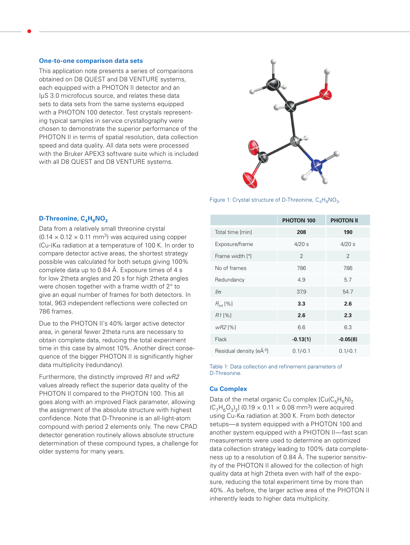#### **One-to-one comparison data sets**

This application note presents a series of comparisons obtained on D8 QUEST and D8 VENTURE systems, each equipped with a PHOTON II detector and an IµS 3.0 microfocus source, and relates these data sets to data sets from the same systems equipped with a PHOTON 100 detector. Test crystals representing typical samples in service crystallography were chosen to demonstrate the superior performance of the PHOTON II in terms of spatial resolution, data collection speed and data quality. All data sets were processed with the Bruker APEX3 software suite which is included with all D8 QUEST and D8 VENTURE systems.



Figure 1: Crystal structure of D-Threonine,  $C_4H_9NO_3$ .

## D-Threonine, C<sub>4</sub>H<sub>9</sub>NO<sub>3</sub>

Data from a relatively small threonine crystal  $(0.14 \times 0.12 \times 0.11 \text{ mm}^3)$  was acquired using copper (Cu-)Kα radiation at a temperature of 100 K. In order to compare detector active areas, the shortest strategy possible was calculated for both setups giving 100% complete data up to 0.84 Å. Exposure times of 4 s for low 2theta angles and 20 s for high 2theta angles were chosen together with a frame width of 2° to give an equal number of frames for both detectors. In total, 963 independent reflections were collected on 786 frames.

Due to the PHOTON II's 40% larger active detector area, in general fewer 2theta runs are necessary to obtain complete data, reducing the total experiment time in this case by almost 10%. Another direct consequence of the bigger PHOTON II is significantly higher data multiplicity (redundancy).

Furthermore, the distinctly improved *R1* and *wR2* values already reflect the superior data quality of the PHOTON II compared to the PHOTON 100. This all goes along with an improved Flack parameter, allowing the assignment of the absolute structure with highest confidence. Note that D-Threonine is an all-light-atom compound with period 2 elements only. The new CPAD detector generation routinely allows absolute structure determination of these compound types, a challenge for older systems for many years.

|                         | <b>PHOTON 100</b> | <b>PHOTON II</b> |
|-------------------------|-------------------|------------------|
| Total time [min]        | 208               | 190              |
| Exposure/frame          | $4/20$ s          | $4/20$ s         |
| Frame width [°]         | $\mathcal{P}$     | $\mathfrak{D}$   |
| No of frames            | 786               | 786              |
| Redundancy              | 4.9               | 5.7              |
| $\sqrt{a}$              | 37.9              | 54.7             |
| $R_{int}$ [%]           | 3.3               | 2.6              |
| $R11\%$                 | 2.6               | 2.3              |
| wR2 [%]                 | 6.6               | 6.3              |
| Flack                   | $-0.13(1)$        | $-0.05(8)$       |
| Residual density [eÅ-3] | $0.1/-0.1$        | $0.1/-0.1$       |

Table 1: Data collection and refinement parameters of D-Threonine.

#### **Cu Complex**

Data of the metal organic Cu complex  $[C_{\text{u}}(C_{\text{g}}H_{\text{g}}N)]_2$  $(C_7H_6O_3)_2$ ] (0.19  $\times$  0.11  $\times$  0.08 mm<sup>3</sup>) were acquired using Cu-Kα radiation at 300 K. From both detector setups—a system equipped with a PHOTON 100 and another system equipped with a PHOTON II—fast scan measurements were used to determine an optimized data collection strategy leading to 100% data completeness up to a resolution of 0.84 Å. The superior sensitivity of the PHOTON II allowed for the collection of high quality data at high 2theta even with half of the exposure, reducing the total experiment time by more than 40%. As before, the larger active area of the PHOTON II inherently leads to higher data multiplicity.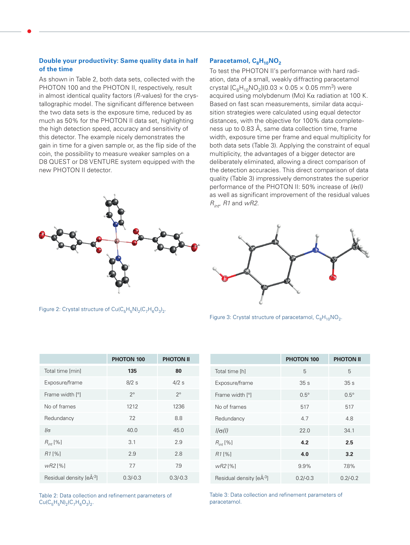## **Double your productivity: Same quality data in half of the time**

As shown in Table 2, both data sets, collected with the PHOTON 100 and the PHOTON II, respectively, result in almost identical quality factors (*R*-values) for the crystallographic model. The significant difference between the two data sets is the exposure time, reduced by as much as 50% for the PHOTON II data set, highlighting the high detection speed, accuracy and sensitivity of this detector. The example nicely demonstrates the gain in time for a given sample or, as the flip side of the coin, the possibility to measure weaker samples on a D8 QUEST or D8 VENTURE system equipped with the new PHOTON II detector.



Figure 2: Crystal structure of  $Cu(C_5H_5N)_2(C_7H_6O_3)_2$ .

## Paracetamol, C<sub>8</sub>H<sub>10</sub>NO<sub>2</sub>

To test the PHOTON II's performance with hard radiation, data of a small, weakly diffracting paracetamol crystal  $[C_8H_{10}NO_2](0.03 \times 0.05 \times 0.05$  mm<sup>3</sup>) were acquired using molybdenum (Mo)  $K\alpha$  radiation at 100 K. Based on fast scan measurements, similar data acquisition strategies were calculated using equal detector distances, with the objective for 100% data completeness up to 0.83 Å, same data collection time, frame width, exposure time per frame and equal multiplicity for both data sets (Table 3). Applying the constraint of equal multiplicity, the advantages of a bigger detector are deliberately eliminated, allowing a direct comparison of the detection accuracies. This direct comparison of data quality (Table 3) impressively demonstrates the superior performance of the PHOTON II: 50% increase of *I/*σ*(I)* as well as significant improvement of the residual values *Rint*, *R1* and *wR2*.



Figure 3: Crystal structure of paracetamol,  $C_8H_{10}NO_2$ .

|                         | <b>PHOTON 100</b> | <b>PHOTON II</b> |
|-------------------------|-------------------|------------------|
| Total time [min]        | 135               | 80               |
| Exposure/frame          | 8/2s              | $4/2$ s          |
| Frame width [°]         | $2^{\circ}$       | $2^{\circ}$      |
| No of frames            | 1212              | 1236             |
| Redundancy              | 7.2               | 8.8              |
| $\sqrt{a}$              | 40.0              | 45.0             |
| $R_{int}$ [%]           | 3.1               | 2.9              |
| R1[%]                   | 2.9               | 2.8              |
| $wR2$ [%]               | 7.7               | 7.9              |
| Residual density [eÅ-3] | $0.3/-0.3$        | $0.3/-0.3$       |

Table 2: Data collection and refinement parameters of  $Cu(C_{5}H_{5}N)_{2}(C_{7}H_{6}O_{3})_{2}.$ 

|                         | <b>PHOTON 100</b> | <b>PHOTON II</b> |
|-------------------------|-------------------|------------------|
| Total time [h]          | 5                 | 5                |
| Exposure/frame          | 35 <sub>s</sub>   | 35 <sub>s</sub>  |
| Frame width [°]         | $0.5^\circ$       | $0.5^\circ$      |
| No of frames            | 517               | 517              |
| Redundancy              | 4.7               | 4.8              |
| $1/\sigma(1)$           | 22.0              | 34.1             |
| $R_{int}$ [%]           | 4.2               | 2.5              |
| R1[%]                   | 4.0               | 3.2              |
| $wR2$ [%]               | 9.9%              | 7.8%             |
| Residual density [eÅ-3] | $0.2/-0.3$        | $0.2/-0.2$       |

Table 3: Data collection and refinement parameters of paracetamol.